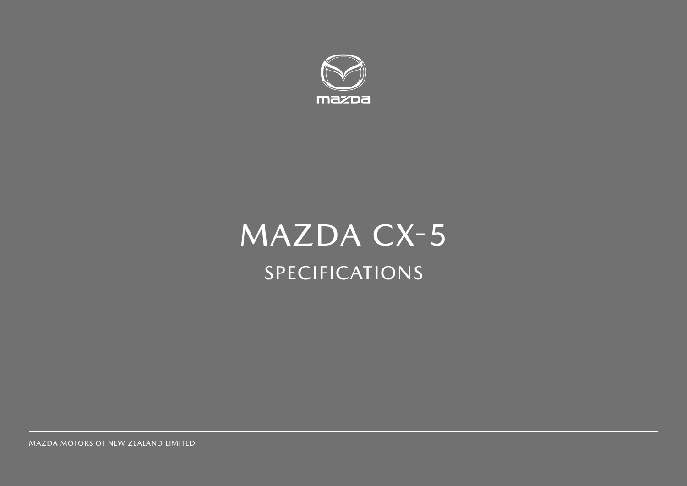

# MAZDA CX-5 SPECIFICATIONS

MAZDA MOTORS OF NEW ZEALAND LIMITED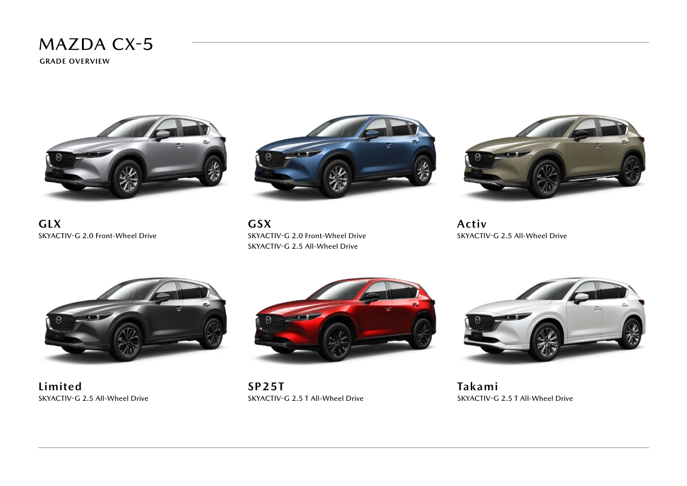**GRADE OVERVIEW**







**GSX** SKYACTIV-G 2.0 Front-Wheel Drive SKYACTIV-G 2.5 All-Wheel Drive



**Activ** SKYACTIV-G 2.5 All-Wheel Drive



**Limited** SKYACTIV-G 2.5 All-Wheel Drive



**SP25T** SKYACTIV-G 2.5 T All-Wheel Drive



**Takami** SKYACTIV-G 2.5 T All-Wheel Drive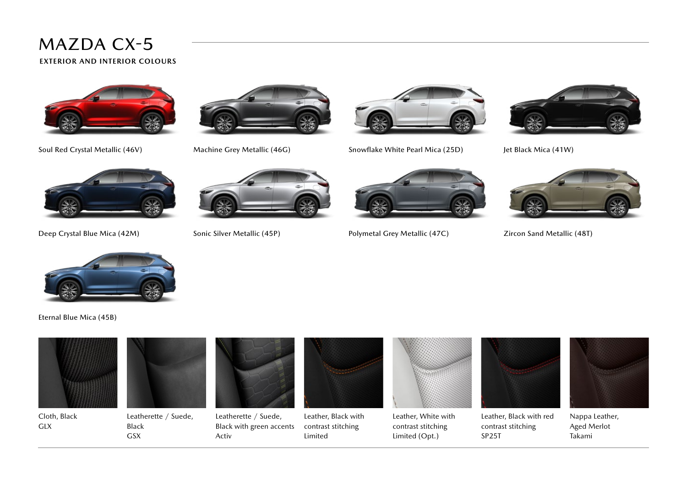**EXTERIOR AND INTERIOR COLOURS**







Soul Red Crystal Metallic (46V) Machine Grey Metallic (46G) Snowflake White Pearl Mica (25D) Jet Black Mica (41W)









Deep Crystal Blue Mica (42M) Sonic Silver Metallic (45P) Polymetal Grey Metallic (47C) Zircon Sand Metallic (48T)





Eternal Blue Mica (45B)



Cloth, Black GLX



Leatherette / Suede, Black GSX



Leatherette / Suede, Black with green accents Activ



Leather, Black with contrast stitching Limited



Leather, White with contrast stitching Limited (Opt.)



Leather, Black with red contrast stitching SP25T



Nappa Leather, Aged Merlot Takami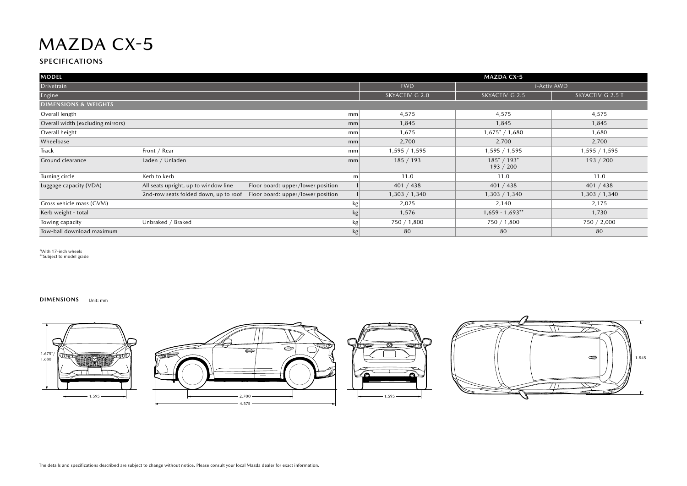#### **SPECIFICATIONS**

| <b>MODEL</b>                      |                                                                            | <b>MAZDA CX-5</b> |                |                                |                  |  |
|-----------------------------------|----------------------------------------------------------------------------|-------------------|----------------|--------------------------------|------------------|--|
| Drivetrain                        |                                                                            |                   | <b>FWD</b>     | i-Activ AWD                    |                  |  |
| Engine                            |                                                                            |                   | SKYACTIV-G 2.0 | SKYACTIV-G 2.5                 | SKYACTIV-G 2.5 T |  |
| <b>DIMENSIONS &amp; WEIGHTS</b>   |                                                                            |                   |                |                                |                  |  |
| Overall length                    |                                                                            | mm                | 4,575          | 4,575                          | 4,575            |  |
| Overall width (excluding mirrors) |                                                                            | mm                | 1,845          | 1,845                          | 1,845            |  |
| Overall height                    |                                                                            | mm                | 1,675          | $1,675$ <sup>*</sup> / $1,680$ | 1,680            |  |
| Wheelbase                         |                                                                            | mm                | 2,700          | 2,700                          | 2,700            |  |
| Track                             | Front / Rear                                                               | mm                | 1,595 / 1,595  | 1,595 / 1,595                  | 1,595 / 1,595    |  |
| Ground clearance                  | Laden / Unladen                                                            | mm                | 185/193        | $185^* / 193^*$<br>193 / 200   | 193 / 200        |  |
| Turning circle                    | Kerb to kerb                                                               | m                 | 11.0           | 11.0                           | 11.0             |  |
| Luggage capacity (VDA)            | Floor board: upper/lower position<br>All seats upright, up to window line  |                   | 401 / 438      | 401 / 438                      | 401 / 438        |  |
|                                   | Floor board: upper/lower position<br>2nd-row seats folded down, up to roof |                   | 1,303 / 1,340  | 1,303 / 1,340                  | 1,303 / 1,340    |  |
| Gross vehicle mass (GVM)          |                                                                            | kg                | 2,025          | 2,140                          | 2,175            |  |
| Kerb weight - total               |                                                                            | kg                | 1,576          | $1,659 - 1,693$ **             | 1,730            |  |
| Towing capacity                   | Unbraked / Braked                                                          | kg                | 750 / 1,800    | 750 / 1,800                    | 750 / 2,000      |  |
| Tow-ball download maximum         |                                                                            | kg                | 80             | 80                             | 80               |  |

\*With 17-inch wheels \*\*Subject to model grade

**DIMENSIONS** Unit: mm







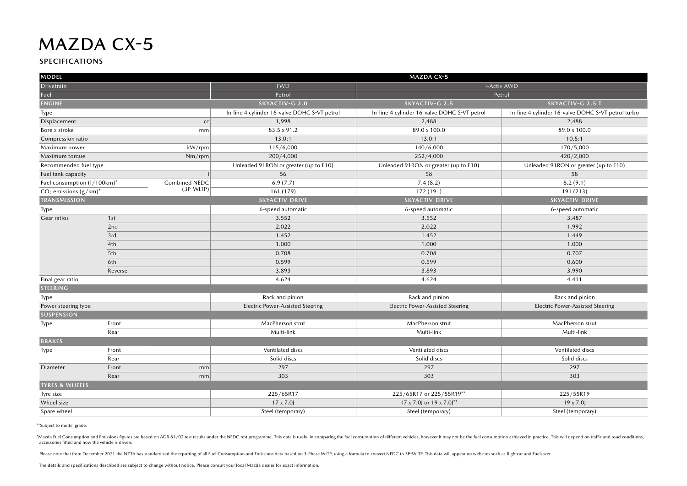#### **SPECIFICATIONS**

| <b>MODEL</b>                        | <b>MAZDA CX-5</b> |                                              |                                              |                                                    |  |  |  |
|-------------------------------------|-------------------|----------------------------------------------|----------------------------------------------|----------------------------------------------------|--|--|--|
| Drivetrain                          |                   | <b>FWD</b>                                   |                                              | i-Activ AWD                                        |  |  |  |
| Fuel                                |                   | Petrol                                       |                                              | Petrol                                             |  |  |  |
| <b>ENGINE</b>                       |                   | <b>SKYACTIV-G 2.0</b>                        | SKYACTIV-G 2.5                               | SKYACTIV-G 2.5 T                                   |  |  |  |
| Type                                |                   | In-line 4 cylinder 16-valve DOHC S-VT petrol | In-line 4 cylinder 16-valve DOHC S-VT petrol | In-line 4 cylinder 16-valve DOHC S-VT petrol turbo |  |  |  |
| Displacement                        | cc                | 1,998                                        | 2,488                                        | 2,488                                              |  |  |  |
| Bore x stroke                       | mm                | 83.5 x 91.2                                  | 89.0 x 100.0                                 | 89.0 x 100.0                                       |  |  |  |
| Compression ratio                   |                   | 13.0:1                                       | 13.0:1                                       | 10.5:1                                             |  |  |  |
| Maximum power                       | kW/rpm            | 115/6,000                                    | 140/6,000                                    | 170/5,000                                          |  |  |  |
| Maximum torque                      | $Nm$ /rpm         | 200/4,000                                    | 252/4,000                                    | 420/2,000                                          |  |  |  |
| Recommended fuel type               |                   | Unleaded 91RON or greater (up to E10)        | Unleaded 91RON or greater (up to E10)        | Unleaded 91RON or greater (up to E10)              |  |  |  |
| Fuel tank capacity                  |                   | 56                                           | 58                                           | 58                                                 |  |  |  |
| Fuel consumption (I/100km)*         | Combined NEDC     | 6.9(7.7)                                     | 7.4(8.2)                                     | 8.2(9.1)                                           |  |  |  |
| $CO2$ emissions (g/km) <sup>*</sup> | (3P-WLTP)         | 161 (179)                                    | 172 (191)                                    | 191 (213)                                          |  |  |  |
| <b>TRANSMISSION</b>                 |                   | <b>SKYACTIV-DRIVE</b>                        | <b>SKYACTIV-DRIVE</b>                        | <b>SKYACTIV-DRIVE</b>                              |  |  |  |
| Type                                |                   | 6-speed automatic                            | 6-speed automatic                            | 6-speed automatic                                  |  |  |  |
| Gear ratios                         | 1st               | 3.552                                        | 3.552                                        | 3.487                                              |  |  |  |
|                                     | 2nd               | 2.022                                        | 2.022                                        | 1.992                                              |  |  |  |
|                                     | 3rd               | 1.452                                        | 1.452                                        | 1.449                                              |  |  |  |
|                                     | 4th               | 1.000                                        | 1.000                                        | 1.000                                              |  |  |  |
|                                     | 5th               | 0.708                                        | 0.708                                        | 0.707                                              |  |  |  |
|                                     | 6th               | 0.599                                        | 0.599                                        | 0.600                                              |  |  |  |
|                                     | Reverse           | 3.893                                        | 3.893                                        | 3.990                                              |  |  |  |
| Final gear ratio                    |                   | 4.624                                        | 4.624                                        | 4.411                                              |  |  |  |
| <b>STEERING</b>                     |                   |                                              |                                              |                                                    |  |  |  |
| Type                                |                   | Rack and pinion                              | Rack and pinion                              | Rack and pinion                                    |  |  |  |
| Power steering type                 |                   | <b>Electric Power-Assisted Steering</b>      | <b>Electric Power-Assisted Steering</b>      | <b>Electric Power-Assisted Steering</b>            |  |  |  |
| <b>SUSPENSION</b>                   |                   |                                              |                                              |                                                    |  |  |  |
| Type                                | Front             | MacPherson strut                             | MacPherson strut                             | MacPherson strut                                   |  |  |  |
|                                     | Rear              | Multi-link                                   | Multi-link                                   | Multi-link                                         |  |  |  |
| <b>BRAKES</b>                       |                   |                                              |                                              |                                                    |  |  |  |
| Type                                | Front             | Ventilated discs                             | Ventilated discs                             | Ventilated discs                                   |  |  |  |
|                                     | Rear              | Solid discs                                  | Solid discs                                  | Solid discs                                        |  |  |  |
| Diameter                            | Front<br>mm       | 297                                          | 297                                          | 297                                                |  |  |  |
|                                     | Rear<br>mm        | 303                                          | 303                                          | 303                                                |  |  |  |
| <b>TYRES &amp; WHEELS</b>           |                   |                                              |                                              |                                                    |  |  |  |
| Tyre size                           |                   | 225/65R17                                    | 225/65R17 or 225/55R19**                     | 225/55R19                                          |  |  |  |
| Wheel size                          |                   | $17 \times 7.0$                              | 17 x 7.0 or 19 x 7.0 <sup>**</sup>           | $19 \times 7.0$                                    |  |  |  |
| Spare wheel                         |                   | Steel (temporary)                            | Steel (temporary)                            | Steel (temporary)                                  |  |  |  |

\*\*Subject to model grade.

\*Mazda Fuel Consumption and Emissions figures are based on ADR 81/02 test results under the NEDC test programme. This data is useful in comparing the fuel consumption of different vehicles, however it may not be the fuel c accessories fitted and how the vehicle is driven.

Please note that from December 2021 the NZTA has standardised the reporting of all Fuel Consumption and Emissions data based on 3-Phase WLTP, using a formula to convert NEDC to 3P-WLTP. This data will appear on websites su

The details and specifications described are subject to change without notice. Please consult your local Mazda dealer for exact information.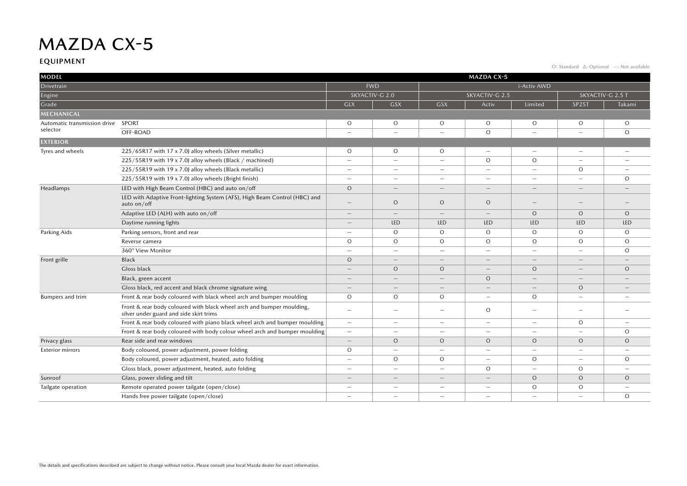#### **EQUIPMENT**

O: Standard ∆: Optional —: Not available

| <b>MODEL</b><br><b>MAZDA CX-5</b>  |                                                                                                                  |                          |                          |                          |                          |                          |                                 |                          |
|------------------------------------|------------------------------------------------------------------------------------------------------------------|--------------------------|--------------------------|--------------------------|--------------------------|--------------------------|---------------------------------|--------------------------|
| Drivetrain                         |                                                                                                                  | <b>FWD</b>               |                          | i-Activ AWD              |                          |                          |                                 |                          |
| Engine                             |                                                                                                                  | SKYACTIV-G 2.0           |                          | SKYACTIV-G 2.5           |                          |                          | SKYACTIV-G 2.5 T                |                          |
| Grade                              |                                                                                                                  | <b>GLX</b>               | <b>GSX</b>               | <b>GSX</b>               | Activ                    | Limited                  | <b>SP25T</b>                    | Takami                   |
| MECHANICAL                         |                                                                                                                  |                          |                          |                          |                          |                          |                                 |                          |
| Automatic transmission drive SPORT |                                                                                                                  | $\circ$                  | $\circ$                  | $\circ$                  | $\circ$                  | $\circ$                  | $\circ$                         | $\circ$                  |
| selector                           | OFF-ROAD                                                                                                         |                          | $\overline{\phantom{m}}$ | $\overline{\phantom{0}}$ | $\circ$                  | $\overline{\phantom{0}}$ | $\overline{\phantom{a}}$        | $\circ$                  |
| <b>EXTERIOR</b>                    |                                                                                                                  |                          |                          |                          |                          |                          |                                 |                          |
| Tyres and wheels                   | 225/65R17 with 17 x 7.0J alloy wheels (Silver metallic)                                                          | O                        | $\circ$                  | $\circ$                  | $\equiv$                 | $\overline{\phantom{0}}$ | $\overline{\phantom{m}}$        | $\equiv$                 |
|                                    | 225/55R19 with 19 x 7.0J alloy wheels (Black / machined)                                                         | $\overline{\phantom{0}}$ | $\overline{\phantom{a}}$ | $\overline{\phantom{0}}$ | $\circ$                  | $\circ$                  | $\overline{\phantom{a}}$        |                          |
|                                    | 225/55R19 with 19 x 7.0J alloy wheels (Black metallic)                                                           | $\overline{\phantom{0}}$ | $\overline{\phantom{0}}$ | $\overline{\phantom{0}}$ | $\overline{\phantom{m}}$ | $\overline{\phantom{0}}$ | $\circ$                         | $\overline{\phantom{0}}$ |
|                                    | 225/55R19 with 19 x 7.0J alloy wheels (Bright finish)                                                            | $\overline{\phantom{0}}$ | $\overline{\phantom{m}}$ | $\overline{\phantom{0}}$ | $\qquad \qquad -$        | $\overline{\phantom{0}}$ | $\qquad \qquad -$               | $\circ$                  |
| Headlamps                          | LED with High Beam Control (HBC) and auto on/off                                                                 | $\circ$                  |                          | $\qquad \qquad -$        | $\equiv$                 | $\overline{\phantom{a}}$ | -                               |                          |
|                                    | LED with Adaptive Front-lighting System (AFS), High Beam Control (HBC) and<br>auto on/off                        | —                        | $\circ$                  | $\circ$                  | $\circ$                  | $\overline{\phantom{0}}$ | $\hspace{0.1mm}-\hspace{0.1mm}$ |                          |
|                                    | Adaptive LED (ALH) with auto on/off                                                                              |                          | $\overline{\phantom{a}}$ | $\overline{\phantom{m}}$ | $\qquad \qquad -$        | $\circ$                  | $\circ$                         | $\circ$                  |
|                                    | Daytime running lights                                                                                           |                          | LED                      | <b>LED</b>               | <b>LED</b>               | LED                      | LED                             | <b>LED</b>               |
| Parking Aids                       | Parking sensors, front and rear                                                                                  | $\overline{\phantom{0}}$ | $\circ$                  | $\circ$                  | $\circ$                  | $\circ$                  | $\circ$                         | $\Omega$                 |
|                                    | Reverse camera                                                                                                   | $\circ$                  | $\circ$                  | $\circ$                  | $\circ$                  | $\circ$                  | $\circ$                         | $\circ$                  |
|                                    | 360° View Monitor                                                                                                | $\overline{\phantom{0}}$ | $\overline{\phantom{a}}$ | $\overline{\phantom{0}}$ | $\overline{\phantom{0}}$ | $\overline{\phantom{a}}$ | $\overline{\phantom{0}}$        | $\circ$                  |
| Front grille                       | Black                                                                                                            | $\circ$                  | $\overline{\phantom{a}}$ | $\overline{\phantom{0}}$ | $\qquad \qquad -$        | $\overline{\phantom{0}}$ | $\qquad \qquad -$               |                          |
|                                    | Gloss black                                                                                                      | $\qquad \qquad -$        | $\circ$                  | $\circ$                  | $\qquad \qquad -$        | $\circ$                  | $\qquad \qquad -$               | $\circ$                  |
|                                    | Black, green accent                                                                                              |                          | $\overline{\phantom{a}}$ | $\qquad \qquad -$        | $\circ$                  |                          | $\overline{\phantom{0}}$        |                          |
|                                    | Gloss black, red accent and black chrome signature wing                                                          |                          |                          | $\overline{\phantom{0}}$ |                          | $\overline{\phantom{a}}$ | $\circ$                         |                          |
| <b>Bumpers and trim</b>            | Front & rear body coloured with black wheel arch and bumper moulding                                             | $\circ$                  | $\circ$                  | $\circ$                  | $\overline{\phantom{a}}$ | $\circ$                  | $\overline{\phantom{m}}$        |                          |
|                                    | Front & rear body coloured with black wheel arch and bumper moulding,<br>silver under guard and side skirt trims | $\overline{\phantom{0}}$ | $\overline{\phantom{a}}$ | $\overline{\phantom{0}}$ | $\circ$                  | $\overline{\phantom{0}}$ | $\qquad \qquad -$               |                          |
|                                    | Front & rear body coloured with piano black wheel arch and bumper moulding                                       | $\overline{\phantom{0}}$ | $\overline{\phantom{m}}$ | $\overline{\phantom{0}}$ | $\overline{\phantom{m}}$ | -                        | $\circ$                         | $\overline{\phantom{0}}$ |
|                                    | Front & rear body coloured with body colour wheel arch and bumper moulding                                       | -                        | $\overline{\phantom{m}}$ | $\overline{\phantom{0}}$ | $\equiv$                 | $\overline{\phantom{0}}$ | $\equiv$                        | $\Omega$                 |
| Privacy glass                      | Rear side and rear windows                                                                                       |                          | $\circ$                  | $\circ$                  | $\circ$                  | $\circ$                  | $\circ$                         | $\circ$                  |
| <b>Exterior mirrors</b>            | Body coloured, power adjustment, power folding                                                                   | $\circ$                  | $\overline{\phantom{a}}$ | $\overline{\phantom{0}}$ | $\overline{\phantom{m}}$ | $\overline{\phantom{a}}$ | $\overline{\phantom{a}}$        |                          |
|                                    | Body coloured, power adjustment, heated, auto folding                                                            | $\equiv$                 | $\circ$                  | $\circ$                  | $\sim$                   | $\circ$                  | $\equiv$                        | $\circ$                  |
|                                    | Gloss black, power adjustment, heated, auto folding                                                              | $\overline{\phantom{0}}$ | $\overline{\phantom{a}}$ | $\overline{\phantom{0}}$ | $\circ$                  | $\overline{\phantom{0}}$ | $\circ$                         |                          |
| Sunroof                            | Glass, power sliding and tilt                                                                                    | $\qquad \qquad -$        | $\overline{\phantom{a}}$ | $\qquad \qquad -$        | $\qquad \qquad -$        | $\circ$                  | $\circ$                         | $\circ$                  |
| Tailgate operation                 | Remote operated power tailgate (open/close)                                                                      | $\overline{\phantom{0}}$ | $\overline{\phantom{a}}$ | $\overline{\phantom{0}}$ | $\overline{\phantom{m}}$ | $\circ$                  | $\circ$                         | $\equiv$                 |
|                                    | Hands free power tailgate (open/close)                                                                           |                          |                          | $\overline{\phantom{0}}$ |                          |                          |                                 | $\Omega$                 |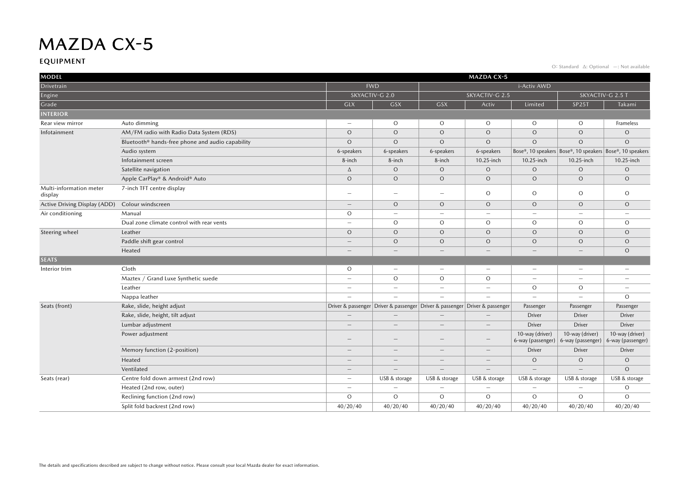#### **EQUIPMENT**

O: Standard ∆: Optional —: Not available

| <b>MODEL</b>                       |                                                              |                          | <b>MAZDA CX-5</b>        |                                                                                   |                          |                                      |                                                          |                                      |  |
|------------------------------------|--------------------------------------------------------------|--------------------------|--------------------------|-----------------------------------------------------------------------------------|--------------------------|--------------------------------------|----------------------------------------------------------|--------------------------------------|--|
| Drivetrain                         |                                                              |                          | <b>FWD</b>               |                                                                                   | i-Activ AWD              |                                      |                                                          |                                      |  |
| Engine                             |                                                              |                          | SKYACTIV-G 2.0           |                                                                                   | SKYACTIV-G 2.5           |                                      |                                                          | SKYACTIV-G 2.5 T                     |  |
| Grade                              |                                                              | <b>GLX</b>               | <b>GSX</b>               | <b>GSX</b>                                                                        | Activ                    | Limited                              | <b>SP25T</b>                                             | Takami                               |  |
| <b>INTERIOR</b>                    |                                                              |                          |                          |                                                                                   |                          |                                      |                                                          |                                      |  |
| Rear view mirror                   | Auto dimming                                                 | $\overline{\phantom{0}}$ | $\circ$                  | $\circ$                                                                           | $\circ$                  | $\circ$                              | $\circ$                                                  | Frameless                            |  |
| Infotainment                       | AM/FM radio with Radio Data System (RDS)                     | $\circ$                  | $\circ$                  | $\circ$                                                                           | $\circ$                  | $\circ$                              | $\circ$                                                  | $\circ$                              |  |
|                                    | Bluetooth <sup>®</sup> hands-free phone and audio capability | $\circ$                  | $\circ$                  | $\circ$                                                                           | $\circ$                  | $\circ$                              | $\circ$                                                  | $\circ$                              |  |
|                                    | Audio system                                                 | 6-speakers               | 6-speakers               | 6-speakers                                                                        | 6-speakers               |                                      | Bose®, 10 speakers Bose®, 10 speakers Bose®, 10 speakers |                                      |  |
|                                    | Infotainment screen                                          | 8-inch                   | 8-inch                   | 8-inch                                                                            | 10.25-inch               | 10.25-inch                           | 10.25-inch                                               | 10.25-inch                           |  |
|                                    | Satellite navigation                                         | Δ                        | $\circ$                  | $\circ$                                                                           | $\circ$                  | $\circ$                              | $\circ$                                                  | $\circ$                              |  |
|                                    | Apple CarPlay® & Android® Auto                               | $\circ$                  | $\circ$                  | $\circ$                                                                           | $\circ$                  | $\circ$                              | $\circ$                                                  | $\circ$                              |  |
| Multi-information meter<br>display | 7-inch TFT centre display                                    | -                        | $\overline{\phantom{a}}$ | $\overline{\phantom{0}}$                                                          | $\circ$                  | $\circ$                              | $\circ$                                                  | $\circ$                              |  |
| Active Driving Display (ADD)       | Colour windscreen                                            | $\overline{\phantom{0}}$ | $\circ$                  | $\circ$                                                                           | $\circ$                  | $\circ$                              | $\circ$                                                  | $\circ$                              |  |
| Air conditioning                   | Manual                                                       | $\circ$                  | $\sim$                   | $\overline{\phantom{0}}$                                                          | $\overline{\phantom{0}}$ | $\overline{\phantom{a}}$             | $\overline{\phantom{m}}$                                 |                                      |  |
|                                    | Dual zone climate control with rear vents                    | $\overline{\phantom{0}}$ | $\circ$                  | $\circ$                                                                           | $\circ$                  | O                                    | $\circ$                                                  | $\circ$                              |  |
| Steering wheel                     | Leather                                                      | $\circ$                  | $\circ$                  | $\circ$                                                                           | $\circ$                  | $\circ$                              | $\circ$                                                  | $\circ$                              |  |
|                                    | Paddle shift gear control                                    | $\overline{\phantom{0}}$ | $\circ$                  | $\circ$                                                                           | $\circ$                  | $\circ$                              | $\circ$                                                  | $\circ$                              |  |
|                                    | Heated                                                       | $\overline{\phantom{0}}$ | $\overline{\phantom{0}}$ |                                                                                   |                          | $\overline{\phantom{a}}$             |                                                          | $\circ$                              |  |
| <b>SEATS</b>                       |                                                              |                          |                          |                                                                                   |                          |                                      |                                                          |                                      |  |
| Interior trim                      | Cloth                                                        | $\circ$                  | $\overline{\phantom{a}}$ | $\overline{\phantom{m}}$                                                          | $\overline{\phantom{m}}$ | $\overline{\phantom{m}}$             | $\overline{\phantom{m}}$                                 | $\overline{\phantom{m}}$             |  |
|                                    | Maztex / Grand Luxe Synthetic suede                          | $\overline{\phantom{0}}$ | $\circ$                  | $\circ$                                                                           | $\circ$                  | ۰                                    | $\overline{\phantom{0}}$                                 | $\overline{\phantom{a}}$             |  |
|                                    | Leather                                                      | $\qquad \qquad -$        | $\overline{\phantom{m}}$ | $\overline{\phantom{0}}$                                                          | $\qquad \qquad -$        | $\circ$                              | $\circ$                                                  | $\overline{\phantom{a}}$             |  |
|                                    | Nappa leather                                                | $\overline{\phantom{0}}$ |                          | $\overline{\phantom{0}}$                                                          | $\equiv$                 | $\overline{\phantom{a}}$             | $\overline{\phantom{0}}$                                 | $\Omega$                             |  |
| Seats (front)                      | Rake, slide, height adjust                                   |                          |                          | Driver & passenger   Driver & passenger   Driver & passenger   Driver & passenger |                          | Passenger                            | Passenger                                                | Passenger                            |  |
|                                    | Rake, slide, height, tilt adjust                             | $\overline{\phantom{0}}$ | $\overline{\phantom{a}}$ |                                                                                   |                          | <b>Driver</b>                        | <b>Driver</b>                                            | <b>Driver</b>                        |  |
|                                    | Lumbar adjustment                                            | $\overline{\phantom{0}}$ | $\overline{\phantom{0}}$ | $\overline{\phantom{a}}$                                                          | $\overline{\phantom{0}}$ | <b>Driver</b>                        | <b>Driver</b>                                            | <b>Driver</b>                        |  |
|                                    | Power adjustment                                             |                          | $\overline{\phantom{a}}$ |                                                                                   |                          | 10-way (driver)<br>6-way (passenger) | 10-way (driver)<br>6-way (passenger)                     | 10-way (driver)<br>6-way (passenger) |  |
|                                    | Memory function (2-position)                                 | $\overline{\phantom{0}}$ |                          |                                                                                   |                          | <b>Driver</b>                        | <b>Driver</b>                                            | <b>Driver</b>                        |  |
|                                    | Heated                                                       | $\overline{\phantom{0}}$ |                          |                                                                                   | $\overline{\phantom{0}}$ | $\circ$                              | $\circ$                                                  | $\circ$                              |  |
|                                    | Ventilated                                                   | $\overline{\phantom{m}}$ |                          | $\qquad \qquad -$                                                                 |                          | $\overline{\phantom{a}}$             |                                                          | $\Omega$                             |  |
| Seats (rear)                       | Centre fold down armrest (2nd row)                           | -                        | USB & storage            | USB & storage                                                                     | USB & storage            | USB & storage                        | USB & storage                                            | USB & storage                        |  |
|                                    | Heated (2nd row, outer)                                      | $\qquad \qquad -$        | $\sim$                   | $\overline{\phantom{0}}$                                                          | $\overline{\phantom{0}}$ | $\overline{\phantom{a}}$             | $\overline{\phantom{m}}$                                 | $\circ$                              |  |
|                                    | Reclining function (2nd row)                                 | $\circ$                  | $\circ$                  | $\circ$                                                                           | $\circ$                  | $\circ$                              | $\circ$                                                  | $\circ$                              |  |
|                                    | Split fold backrest (2nd row)                                | 40/20/40                 | 40/20/40                 | 40/20/40                                                                          | 40/20/40                 | 40/20/40                             | 40/20/40                                                 | 40/20/40                             |  |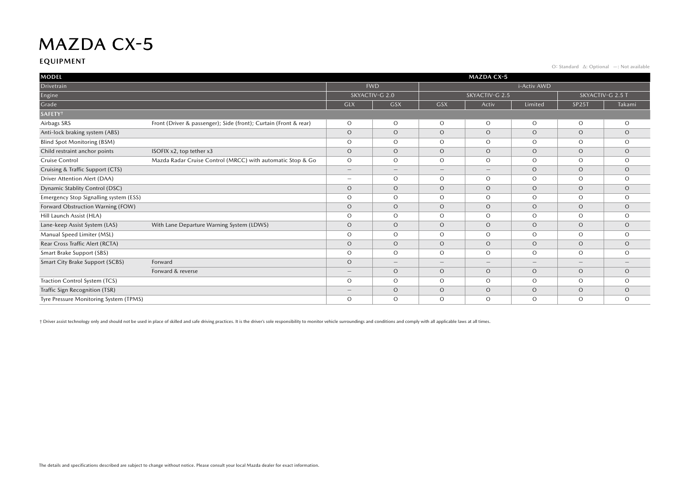#### **EQUIPMENT**

O: Standard ∆: Optional —: Not available

| <b>MODEL</b>                           | <b>MAZDA CX-5</b>                                                |                                 |                   |                                 |                          |          |                                 |         |  |
|----------------------------------------|------------------------------------------------------------------|---------------------------------|-------------------|---------------------------------|--------------------------|----------|---------------------------------|---------|--|
| Drivetrain                             |                                                                  |                                 | <b>FWD</b>        |                                 | i-Activ AWD              |          |                                 |         |  |
| Engine                                 |                                                                  | SKYACTIV-G 2.0                  |                   | SKYACTIV-G 2.5                  |                          |          | SKYACTIV-G 2.5 T                |         |  |
| Grade                                  |                                                                  | <b>GLX</b>                      | GSX               | <b>GSX</b>                      | Activ                    | Limited  | SP <sub>25</sub> T              | Takami  |  |
| <b>SAFETY<sup>+</sup></b>              |                                                                  |                                 |                   |                                 |                          |          |                                 |         |  |
| Airbags SRS                            | Front (Driver & passenger); Side (front); Curtain (Front & rear) | $\circ$                         | $\circ$           | $\circ$                         | $\circ$                  | $\circ$  | $\circ$                         | $\circ$ |  |
| Anti-lock braking system (ABS)         |                                                                  | $\circ$                         | $\circ$           | $\circ$                         | $\circ$                  | $\circ$  | $\circ$                         | $\circ$ |  |
| <b>Blind Spot Monitoring (BSM)</b>     |                                                                  | $\circ$                         | $\Omega$          | $\circ$                         | $\Omega$                 | $\Omega$ | $\circ$                         | $\circ$ |  |
| Child restraint anchor points          | ISOFIX x2, top tether x3                                         | $\circ$                         | $\Omega$          | $\circ$                         | $\Omega$                 | $\Omega$ | $\circ$                         | $\circ$ |  |
| Cruise Control                         | Mazda Radar Cruise Control (MRCC) with automatic Stop & Go       | $\circ$                         | $\Omega$          | $\circ$                         | $\Omega$                 | $\Omega$ | $\circ$                         | $\circ$ |  |
| Cruising & Traffic Support (CTS)       |                                                                  | $\qquad \qquad -$               | $\qquad \qquad -$ | $\hspace{0.1mm}-\hspace{0.1mm}$ | $\overline{\phantom{m}}$ | $\circ$  | $\circ$                         | $\circ$ |  |
| Driver Attention Alert (DAA)           |                                                                  | $\hspace{0.1mm}-\hspace{0.1mm}$ | $\circ$           | $\circ$                         | $\circ$                  | $\circ$  | $\circ$                         | $\circ$ |  |
| <b>Dynamic Stablity Control (DSC)</b>  |                                                                  | $\circ$                         | $\circ$           | $\circ$                         | $\circ$                  | $\circ$  | $\circ$                         | $\circ$ |  |
| Emergency Stop Signalling system (ESS) |                                                                  | $\circ$                         | $\circ$           | $\circ$                         | $\circ$                  | $\circ$  | $\circ$                         | $\circ$ |  |
| Forward Obstruction Warning (FOW)      |                                                                  | $\circ$                         | $\circ$           | $\circ$                         | $\Omega$                 | $\circ$  | $\circ$                         | $\circ$ |  |
| Hill Launch Assist (HLA)               |                                                                  | $\circ$                         | $\Omega$          | $\circ$                         | $\Omega$                 | $\Omega$ | $\circ$                         | $\circ$ |  |
| Lane-keep Assist System (LAS)          | With Lane Departure Warning System (LDWS)                        | $\circ$                         | $\Omega$          | $\circ$                         | $\Omega$                 | $\Omega$ | $\circ$                         | $\circ$ |  |
| Manual Speed Limiter (MSL)             |                                                                  | $\circ$                         | $\Omega$          | $\Omega$                        | $\Omega$                 | $\circ$  | $\circ$                         | $\circ$ |  |
| Rear Cross Traffic Alert (RCTA)        |                                                                  | $\circ$                         | $\circ$           | $\circ$                         | $\circ$                  | $\circ$  | $\circ$                         | $\circ$ |  |
| Smart Brake Support (SBS)              |                                                                  | $\circ$                         | $\circ$           | $\circ$                         | $\circ$                  | $\circ$  | $\circ$                         | $\circ$ |  |
| Smart City Brake Support (SCBS)        | Forward                                                          | $\circ$                         |                   | $\hspace{0.1mm}-\hspace{0.1mm}$ | $\overline{\phantom{0}}$ |          | $\hspace{0.1mm}-\hspace{0.1mm}$ |         |  |
|                                        | Forward & reverse                                                | $\qquad \qquad -$               | $\circ$           | $\circ$                         | $\circ$                  | $\circ$  | $\circ$                         | $\circ$ |  |
| Traction Control System (TCS)          |                                                                  | O                               | $\circ$           | $\circ$                         | $\Omega$                 | $\Omega$ | $\circ$                         | $\circ$ |  |
| Traffic Sign Recognition (TSR)         |                                                                  | $\qquad \qquad -$               | $\circ$           | $\circ$                         | $\circ$                  | $\circ$  | $\circ$                         | $\circ$ |  |
| Tyre Pressure Monitoring System (TPMS) |                                                                  | $\circ$                         | $\circ$           | $\circ$                         | $\Omega$                 | $\circ$  | $\circ$                         | $\circ$ |  |

+ Driver assist technology only and should not be used in place of skilled and safe driving practices. It is the driver's sole responsibility to monitor vehicle surroundings and conditions and comply with all applicable la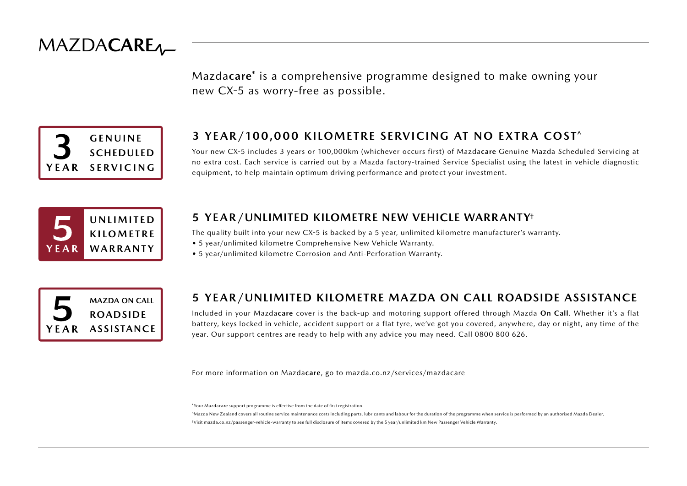

Mazda**care**\* is a comprehensive programme designed to make owning your new CX-5 as worry-free as possible.



### **3 YEAR/100,000 KILOMETRE SERVICING AT NO EXTRA COST^**

Your new CX-5 includes 3 years or 100,000km (whichever occurs first) of Mazda**care** Genuine Mazda Scheduled Servicing at no extra cost. Each service is carried out by a Mazda factory-trained Service Specialist using the latest in vehicle diagnostic equipment, to help maintain optimum driving performance and protect your investment.



#### **5 YEAR/UNLIMITED KILOMETRE NEW VEHICLE WARRANTY†**

The quality built into your new CX-5 is backed by a 5 year, unlimited kilometre manufacturer's warranty.

- 5 year/unlimited kilometre Comprehensive New Vehicle Warranty.
- 5 year/unlimited kilometre Corrosion and Anti-Perforation Warranty.



### **5 YEAR/UNLIMITED KILOMETRE MAZDA ON CALL ROADSIDE ASSISTANCE**

Included in your Mazda**care** cover is the back-up and motoring support offered through Mazda **On Call**. Whether it's a flat battery, keys locked in vehicle, accident support or a flat tyre, we've got you covered, anywhere, day or night, any time of the year. Our support centres are ready to help with any advice you may need. Call 0800 800 626.

For more information on Mazda**care**, go to mazda.co.nz/services/mazdacare

\*Your Mazda**care** support programme is effective from the date of first registration.

^Mazda New Zealand covers all routine service maintenance costs including parts, lubricants and labour for the duration of the programme when service is performed by an authorised Mazda Dealer. †Visit mazda.co.nz/passenger-vehicle-warranty to see full disclosure of items covered by the 5 year/unlimited km New Passenger Vehicle Warranty.